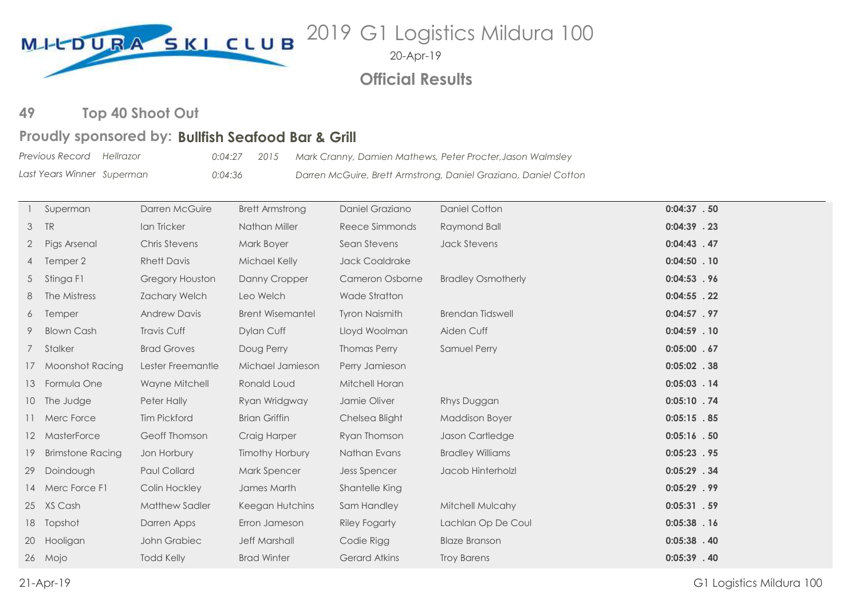

20-Apr-19

**Official Results**

**Top 40 Shoot Out** 

## Proudly sponsored by: Bullfish Seafood Bar & Grill

*Previous Record Last Years Winner Hellrazor 0:04:27 2015 Mark Cranny, Damien Mathews, Peter Procter,Jason Walmsley Superman 0:04:36 Darren McGuire, Brett Armstrong, Daniel Graziano, Daniel Cotton*

|                | Superman                | Darren McGuire       | <b>Brett Armstrong</b>  | Daniel Graziano        | <b>Daniel Cotton</b>      | $0:04:37-.50$  |
|----------------|-------------------------|----------------------|-------------------------|------------------------|---------------------------|----------------|
| 3              | TR                      | Ian Tricker          | Nathan Miller           | Reece Simmonds         | Raymond Ball              | $0:04:39$ . 23 |
| $\overline{2}$ | Pigs Arsenal            | <b>Chris Stevens</b> | Mark Boyer              | Sean Stevens           | <b>Jack Stevens</b>       | $0:04:43$ . 47 |
|                | 4 Temper 2              | <b>Rhett Davis</b>   | Michael Kelly           | <b>Jack Coaldrake</b>  |                           | $0:04:50$ . 10 |
| 5              | Stinga F1               | Gregory Houston      | Danny Cropper           | <b>Cameron Osborne</b> | <b>Bradley Osmotherly</b> | $0:04:53$ . 96 |
| 8              | The Mistress            | <b>Zachary Welch</b> | Leo Welch               | <b>Wade Stratton</b>   |                           | $0:04:55$ . 22 |
| 6              | Temper                  | <b>Andrew Davis</b>  | <b>Brent Wisemantel</b> | <b>Tyron Naismith</b>  | <b>Brendan Tidswell</b>   | $0:04:57$ . 97 |
| 9              | <b>Blown Cash</b>       | Travis Cuff          | Dylan Cuff              | Lloyd Woolman          | Aiden Cuff                | $0:04:59$ . 10 |
|                | 7 Stalker               | <b>Brad Groves</b>   | Doug Perry              | <b>Thomas Perry</b>    | Samuel Perry              | $0:05:00$ . 67 |
|                | 17 Moonshot Racing      | Lester Freemantle    | Michael Jamieson        | Perry Jamieson         |                           | $0:05:02$ . 38 |
| 13             | Formula One             | Wayne Mitchell       | Ronald Loud             | Mitchell Horan         |                           | $0:05:03$ . 14 |
|                | 10 The Judge            | Peter Hally          | Ryan Wridgway           | Jamie Oliver           | Rhys Duggan               | $0:05:10$ . 74 |
|                | 11 Merc Force           | <b>Tim Pickford</b>  | <b>Brian Griffin</b>    | Chelsea Blight         | <b>Maddison Boyer</b>     | $0:05:15$ . 85 |
|                | 12 MasterForce          | Geoff Thomson        | Craig Harper            | Ryan Thomson           | Jason Cartledge           | $0:05:16$ . 50 |
| 19             | <b>Brimstone Racing</b> | Jon Horbury          | <b>Timothy Horbury</b>  | Nathan Evans           | <b>Bradley Williams</b>   | $0:05:23$ . 95 |
| 29             | Doindough               | <b>Paul Collard</b>  | <b>Mark Spencer</b>     | <b>Jess Spencer</b>    | Jacob Hinterholzl         | $0:05:29$ . 34 |
|                | 14 Merc Force F1        | Colin Hockley        | James Marth             | Shantelle King         |                           | $0:05:29$ . 99 |
|                | 25 XS Cash              | Matthew Sadler       | Keegan Hutchins         | Sam Handley            | Mitchell Mulcahy          | $0:05:31-.59$  |
|                | 18 Topshot              | Darren Apps          | Erron Jameson           | <b>Riley Fogarty</b>   | Lachlan Op De Coul        | $0:05:38$ . 16 |
| 20             | Hooligan                | John Grabiec         | <b>Jeff Marshall</b>    | Codie Rigg             | <b>Blaze Branson</b>      | $0:05:38$ . 40 |
|                | 26 Mojo                 | <b>Todd Kelly</b>    | <b>Brad Winter</b>      | Gerard Atkins          | <b>Troy Barens</b>        | $0:05:39$ . 40 |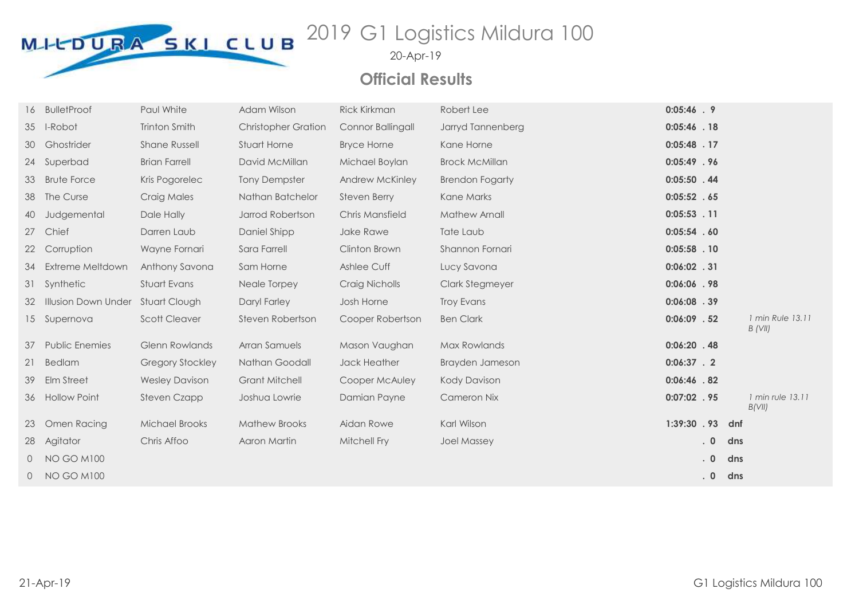

20-Apr-19

## **Official Results**

|                 | <b>BulletProof</b>                | Paul White              | Adam Wilson                | <b>Rick Kirkman</b> | Robert Lee             | $0:05:46$ . 9  |           |                             |
|-----------------|-----------------------------------|-------------------------|----------------------------|---------------------|------------------------|----------------|-----------|-----------------------------|
|                 | 35 I-Robot                        | Trinton Smith           | <b>Christopher Gration</b> | Connor Ballingall   | Jarryd Tannenberg      | $0:05:46$ . 18 |           |                             |
| 30              | Ghostrider                        | <b>Shane Russell</b>    | Stuart Horne               | <b>Bryce Horne</b>  | Kane Horne             | $0:05:48$ . 17 |           |                             |
| 24              | Superbad                          | <b>Brian Farrell</b>    | David McMillan             | Michael Boylan      | <b>Brock McMillan</b>  | $0:05:49$ . 96 |           |                             |
| 33              | <b>Brute Force</b>                | Kris Pogorelec          | <b>Tony Dempster</b>       | Andrew McKinley     | <b>Brendon Fogarty</b> | $0:05:50$ . 44 |           |                             |
| 38              | The Curse                         | Craig Males             | Nathan Batchelor           | <b>Steven Berry</b> | Kane Marks             | 0:05:52 .65    |           |                             |
| 40              | Judgemental                       | Dale Hally              | Jarrod Robertson           | Chris Mansfield     | <b>Mathew Arnall</b>   | $0:05:53$ . 11 |           |                             |
| 27              | Chief                             | Darren Laub             | Daniel Shipp               | Jake Rawe           | Tate Laub              | 0:05:54.60     |           |                             |
| 22              | Corruption                        | Wayne Fornari           | Sara Farrell               | Clinton Brown       | Shannon Fornari        | $0:05:58$ . 10 |           |                             |
| 34              | Extreme Meltdown                  | Anthony Savona          | Sam Horne                  | Ashlee Cuff         | Lucy Savona            | $0:06:02$ . 31 |           |                             |
| 31              | Synthetic                         | Stuart Evans            | Neale Torpey               | Craig Nicholls      | Clark Stegmeyer        | 0:06:06 .98    |           |                             |
| 32              | Illusion Down Under Stuart Clough |                         | Daryl Farley               | Josh Horne          | <b>Troy Evans</b>      | $0:06:08$ . 39 |           |                             |
| 15 <sup>7</sup> | Supernova                         | <b>Scott Cleaver</b>    | Steven Robertson           | Cooper Robertson    | <b>Ben Clark</b>       | $0:06:09$ . 52 |           | 1 min Rule 13.11<br>B (VII) |
| 37              | <b>Public Enemies</b>             | <b>Glenn Rowlands</b>   | Arran Samuels              | Mason Vaughan       | Max Rowlands           | $0:06:20$ . 48 |           |                             |
| 21              | <b>Bedlam</b>                     | <b>Gregory Stockley</b> | Nathan Goodall             | Jack Heather        | Brayden Jameson        | $0:06:37$ . 2  |           |                             |
| 39              | Elm Street                        | <b>Wesley Davison</b>   | <b>Grant Mitchell</b>      | Cooper McAuley      | <b>Kody Davison</b>    | $0:06:46$ . 82 |           |                             |
| 36              | <b>Hollow Point</b>               | Steven Czapp            | Joshua Lowrie              | Damian Payne        | <b>Cameron Nix</b>     | $0:07:02$ . 95 |           | 1 min rule 13.11<br>B(VII)  |
| 23              | Omen Racing                       | <b>Michael Brooks</b>   | <b>Mathew Brooks</b>       | Aidan Rowe          | Karl Wilson            | 1:39:30 .93    |           | dnf                         |
| 28              | Agitator                          | Chris Affoo             | Aaron Martin               | Mitchell Fry        | <b>Joel Massey</b>     |                | $\cdot$ 0 | dns                         |
| $\circ$         | <b>NO GO M100</b>                 |                         |                            |                     |                        |                | $\cdot$ 0 | dns                         |
| 0               | <b>NO GO M100</b>                 |                         |                            |                     |                        |                | $\cdot$ 0 | dns                         |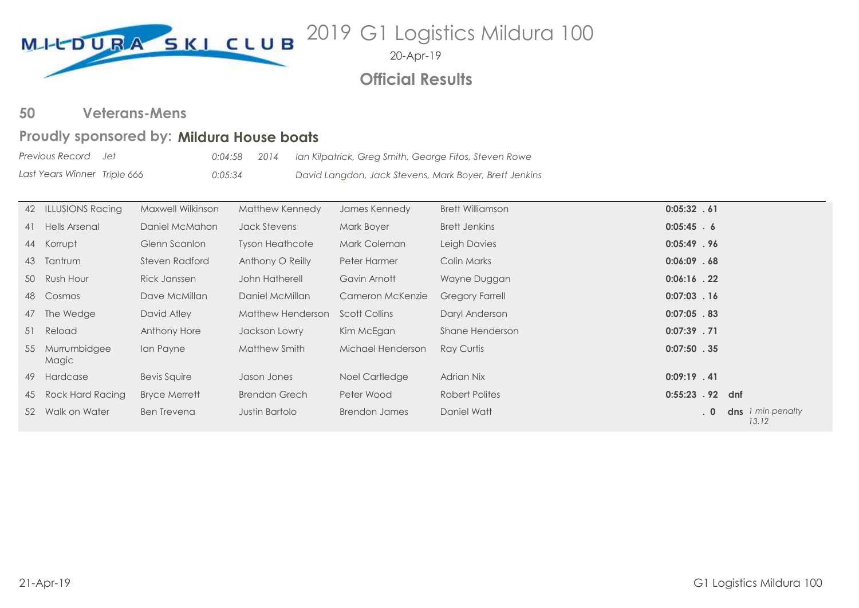

20-Apr-19

## **Official Results**

**Veterans-Mens 50**

## Proudly sponsored by: Mildura House boats

*Previous Record Last Years Winner Jet 0:04:58 2014 Ian Kilpatrick, Greg Smith, George Fitos, Steven Rowe Triple 666 0:05:34 David Langdon, Jack Stevens, Mark Boyer, Brett Jenkins*

|    | 42 ILLUSIONS Racing   | Maxwell Wilkinson    | Matthew Kennedy        | James Kennedy        | <b>Brett Williamson</b> | 0:05:32 .61      |                            |
|----|-----------------------|----------------------|------------------------|----------------------|-------------------------|------------------|----------------------------|
|    | 41 Hells Arsenal      | Daniel McMahon       | Jack Stevens           | Mark Boyer           | Brett Jenkins           | $0:05:45$ . 6    |                            |
|    | 44 Korrupt            | Glenn Scanlon        | <b>Tyson Heathcote</b> | Mark Coleman         | Leigh Davies            | 0:05:49.96       |                            |
| 43 | Tantrum               | Steven Radford       | Anthony O Reilly       | Peter Harmer         | Colin Marks             | $0:06:09$ . 68   |                            |
|    | 50 Rush Hour          | <b>Rick Janssen</b>  | John Hatherell         | Gavin Arnott         | Wayne Duggan            | $0:06:16$ . 22   |                            |
| 48 | Cosmos                | Dave McMillan        | Daniel McMillan        | Cameron McKenzie     | <b>Gregory Farrell</b>  | $0:07:03$ . 16   |                            |
| 47 | The Wedge             | David Atley          | Matthew Henderson      | <b>Scott Collins</b> | Daryl Anderson          | $0:07:05$ .83    |                            |
|    | 51 Reload             | Anthony Hore         | Jackson Lowry          | Kim McEgan           | Shane Henderson         | $0:07:39$ . 71   |                            |
| 55 | Murrumbidgee<br>Magic | Ian Payne            | Matthew Smith          | Michael Henderson    | Ray Curtis              | $0:07:50$ . 35   |                            |
|    | 49 Hardcase           | <b>Bevis Squire</b>  | Jason Jones            | Noel Cartledge       | Adrian Nix              | $0:09:19$ . 41   |                            |
| 45 | Rock Hard Racing      | <b>Bryce Merrett</b> | <b>Brendan Grech</b>   | Peter Wood           | Robert Polites          | 0:55:23 . 92 dnf |                            |
|    | 52 Walk on Water      | <b>Ben Trevena</b>   | Justin Bartolo         | <b>Brendon James</b> | Daniel Watt             | .0               | dns 1 min penalty<br>13.12 |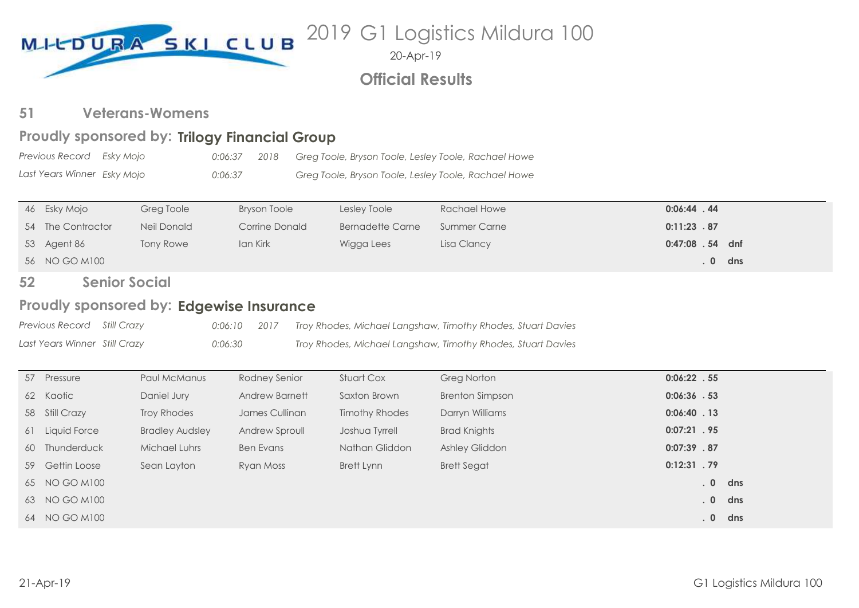

20-Apr-19

## **Official Results**

### **Veterans-Womens 51**

## Proudly sponsored by: Trilogy Financial Group

| Previous Record     Esky Mojo | 0:06:37 2018 | Greg Toole, Bryson Toole, Lesley Toole, Rachael Howe |  |
|-------------------------------|--------------|------------------------------------------------------|--|
| Last Years Winner Esky Mojo   | 0:06:37      | Greg Toole, Bryson Toole, Lesley Toole, Rachael Howe |  |

| 46 Esky Mojo      | Greg Toole  | <b>Bryson Toole</b> | Lesley Toole     | Rachael Howe | $0:06:44$ . 44   |       |
|-------------------|-------------|---------------------|------------------|--------------|------------------|-------|
| 54 The Contractor | Neil Donald | Corrine Donald      | Bernadette Carne | Summer Carne | 0:11:23.87       |       |
| 53 Agent 86       | Tony Rowe   | Ian Kirk            | Wigga Lees       | Lisa Clancy  | 0:47:08 . 54 dnf |       |
| 56 NO GO M100     |             |                     |                  |              |                  | 0 dns |

### **Senior Social 52**

## Proudly sponsored by: Edgewise Insurance

| Previous Record Still Crazy   | $0:06:10$ 2017 | Troy Rhodes, Michael Langshaw, Timothy Rhodes, Stuart Davies |
|-------------------------------|----------------|--------------------------------------------------------------|
| Last Years Winner Still Crazy | 0:06:30        | Troy Rhodes, Michael Langshaw, Timothy Rhodes, Stuart Davies |

| 57 Pressure     | Paul McManus           | Rodney Senior    | Stuart Cox            | <b>Greg Norton</b>     | $0:06:22$ . 55 |           |
|-----------------|------------------------|------------------|-----------------------|------------------------|----------------|-----------|
| 62 Kaotic       | Daniel Jury            | Andrew Barnett   | Saxton Brown          | <b>Brenton Simpson</b> | $0:06:36$ . 53 |           |
| 58 Still Crazy  | Troy Rhodes            | James Cullinan   | <b>Timothy Rhodes</b> | Darryn Williams        | $0:06:40$ . 13 |           |
| 61 Liquid Force | <b>Bradley Audsley</b> | Andrew Sproull   | Joshua Tyrrell        | <b>Brad Knights</b>    | $0:07:21$ . 95 |           |
| 60 Thunderduck  | Michael Luhrs          | <b>Ben Evans</b> | Nathan Gliddon        | <b>Ashley Gliddon</b>  | 0:07:39.87     |           |
| 59 Gettin Loose | Sean Layton            | Ryan Moss        | Brett Lynn            | <b>Brett Segat</b>     | $0:12:31$ . 79 |           |
| 65 NO GO M100   |                        |                  |                       |                        |                | $. 0$ dns |
| 63 NO GO M100   |                        |                  |                       |                        |                | $. 0$ dns |
| 64 NO GO M100   |                        |                  |                       |                        |                | $. 0$ dns |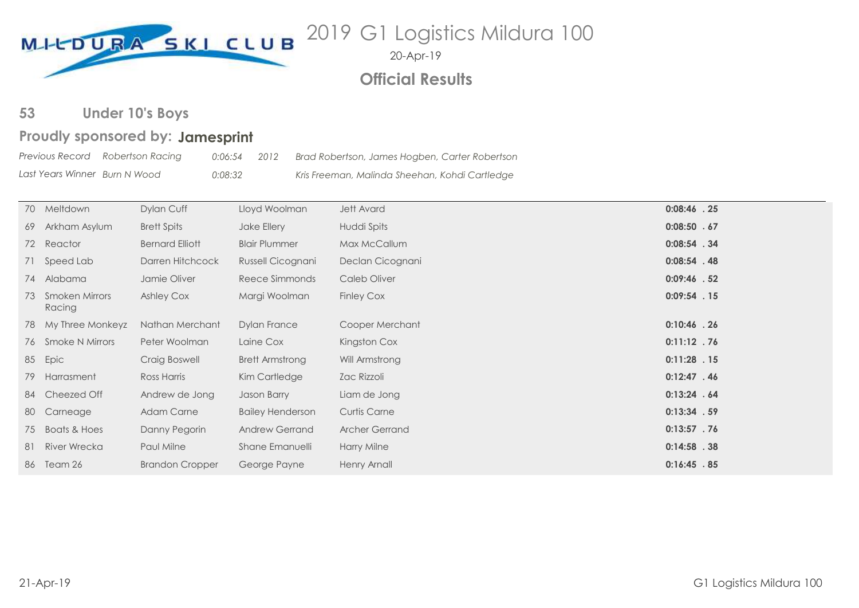

20-Apr-19

## **Official Results**

### **Under 10's Boys**

## Proudly sponsored by: Jamesprint

|                               | Previous Record Robertson Racing | 0:06:54 | 2012 | Brad Robertson, James Hogben, Carter Robertson |  |
|-------------------------------|----------------------------------|---------|------|------------------------------------------------|--|
| Last Years Winner Burn N Wood |                                  | 0:08:32 |      | Kris Freeman, Malinda Sheehan, Kohdi Cartledge |  |

| 70 Meltdown                 | Dylan Cuff             | Lloyd Woolman           | <b>Jett Avard</b>   | $0:08:46$ . 25 |
|-----------------------------|------------------------|-------------------------|---------------------|----------------|
| 69 Arkham Asylum            | <b>Brett Spits</b>     | Jake Ellery             | Huddi Spits         | 0:08:50 .67    |
| 72 Reactor                  | <b>Bernard Elliott</b> | <b>Blair Plummer</b>    | Max McCallum        | $0:08:54$ . 34 |
| 71 Speed Lab                | Darren Hitchcock       | Russell Cicognani       | Declan Cicognani    | $0:08:54$ . 48 |
| 74 Alabama                  | Jamie Oliver           | Reece Simmonds          | Caleb Oliver        | $0:09:46$ . 52 |
| 73 Smoken Mirrors<br>Racing | Ashley Cox             | Margi Woolman           | <b>Finley Cox</b>   | $0:09:54$ . 15 |
| 78 My Three Monkeyz         | Nathan Merchant        | <b>Dylan France</b>     | Cooper Merchant     | $0:10:46$ . 26 |
| 76 Smoke N Mirrors          | Peter Woolman          | Laine Cox               | Kingston Cox        | $0:11:12$ . 76 |
| 85 Epic                     | Craig Boswell          | Brett Armstrong         | Will Armstrong      | $0:11:28$ . 15 |
| 79 Harrasment               | Ross Harris            | Kim Cartledge           | Zac Rizzoli         | $0:12:47$ . 46 |
| 84 Cheezed Off              | Andrew de Jong         | Jason Barry             | Liam de Jong        | 0:13:24.64     |
| 80 Carneage                 | <b>Adam Carne</b>      | <b>Bailey Henderson</b> | <b>Curtis Carne</b> | $0:13:34$ . 59 |
| 75 Boats & Hoes             | Danny Pegorin          | <b>Andrew Gerrand</b>   | Archer Gerrand      | $0:13:57$ . 76 |
| 81 River Wrecka             | Paul Milne             | Shane Emanuelli         | Harry Milne         | $0:14:58$ . 38 |
| 86 Team 26                  | <b>Brandon Cropper</b> | George Payne            | Henry Arnall        | $0:16:45$ . 85 |